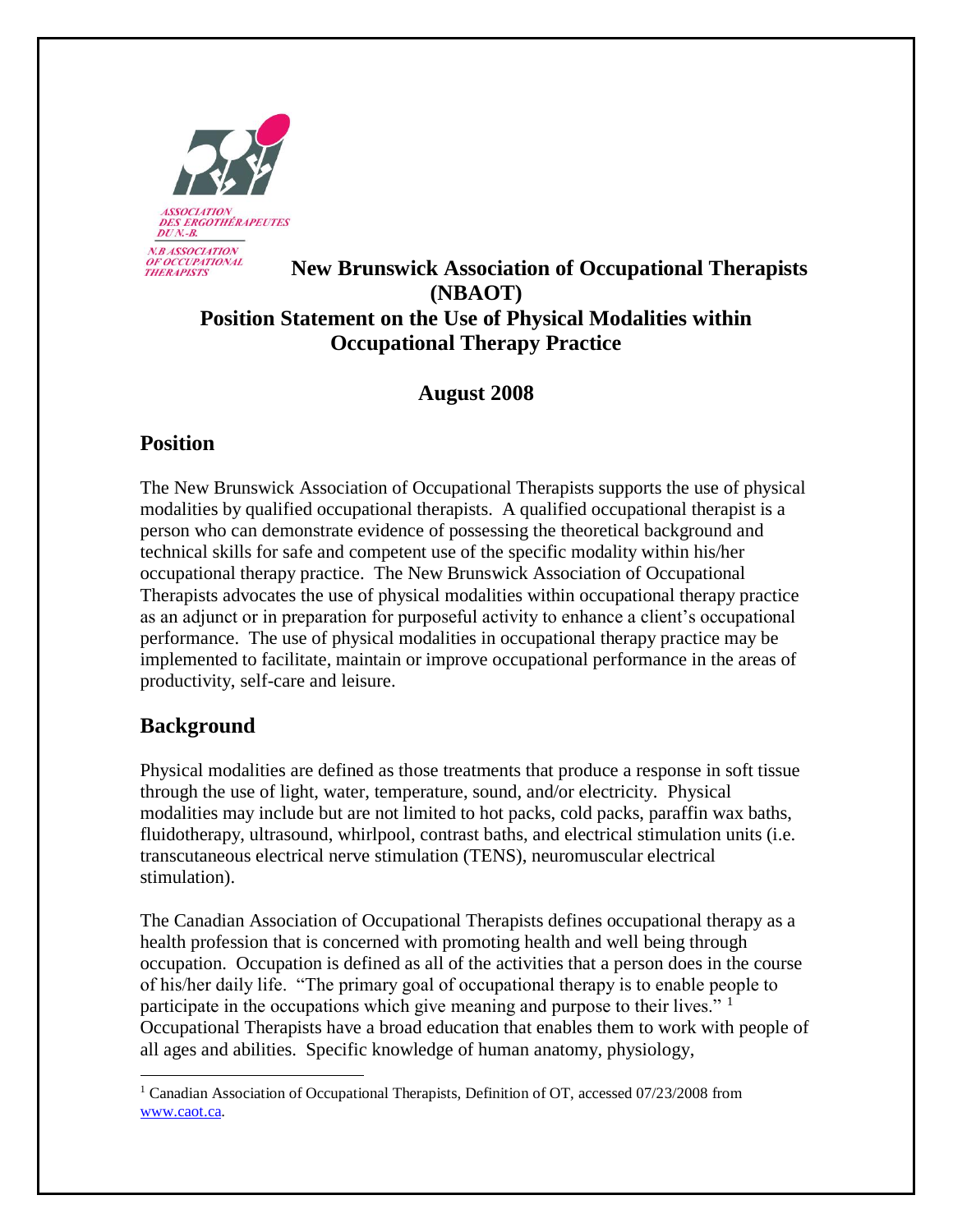

## **New Brunswick Association of Occupational Therapists (NBAOT) Position Statement on the Use of Physical Modalities within Occupational Therapy Practice**

## **August 2008**

# **Position**

The New Brunswick Association of Occupational Therapists supports the use of physical modalities by qualified occupational therapists. A qualified occupational therapist is a person who can demonstrate evidence of possessing the theoretical background and technical skills for safe and competent use of the specific modality within his/her occupational therapy practice. The New Brunswick Association of Occupational Therapists advocates the use of physical modalities within occupational therapy practice as an adjunct or in preparation for purposeful activity to enhance a client's occupational performance. The use of physical modalities in occupational therapy practice may be implemented to facilitate, maintain or improve occupational performance in the areas of productivity, self-care and leisure.

# **Background**

 $\overline{a}$ 

Physical modalities are defined as those treatments that produce a response in soft tissue through the use of light, water, temperature, sound, and/or electricity. Physical modalities may include but are not limited to hot packs, cold packs, paraffin wax baths, fluidotherapy, ultrasound, whirlpool, contrast baths, and electrical stimulation units (i.e. transcutaneous electrical nerve stimulation (TENS), neuromuscular electrical stimulation).

The Canadian Association of Occupational Therapists defines occupational therapy as a health profession that is concerned with promoting health and well being through occupation. Occupation is defined as all of the activities that a person does in the course of his/her daily life. "The primary goal of occupational therapy is to enable people to participate in the occupations which give meaning and purpose to their lives."<sup>1</sup> Occupational Therapists have a broad education that enables them to work with people of all ages and abilities. Specific knowledge of human anatomy, physiology,

<sup>&</sup>lt;sup>1</sup> Canadian Association of Occupational Therapists, Definition of OT, accessed 07/23/2008 from [www.caot.ca.](http://www.caot.ca/)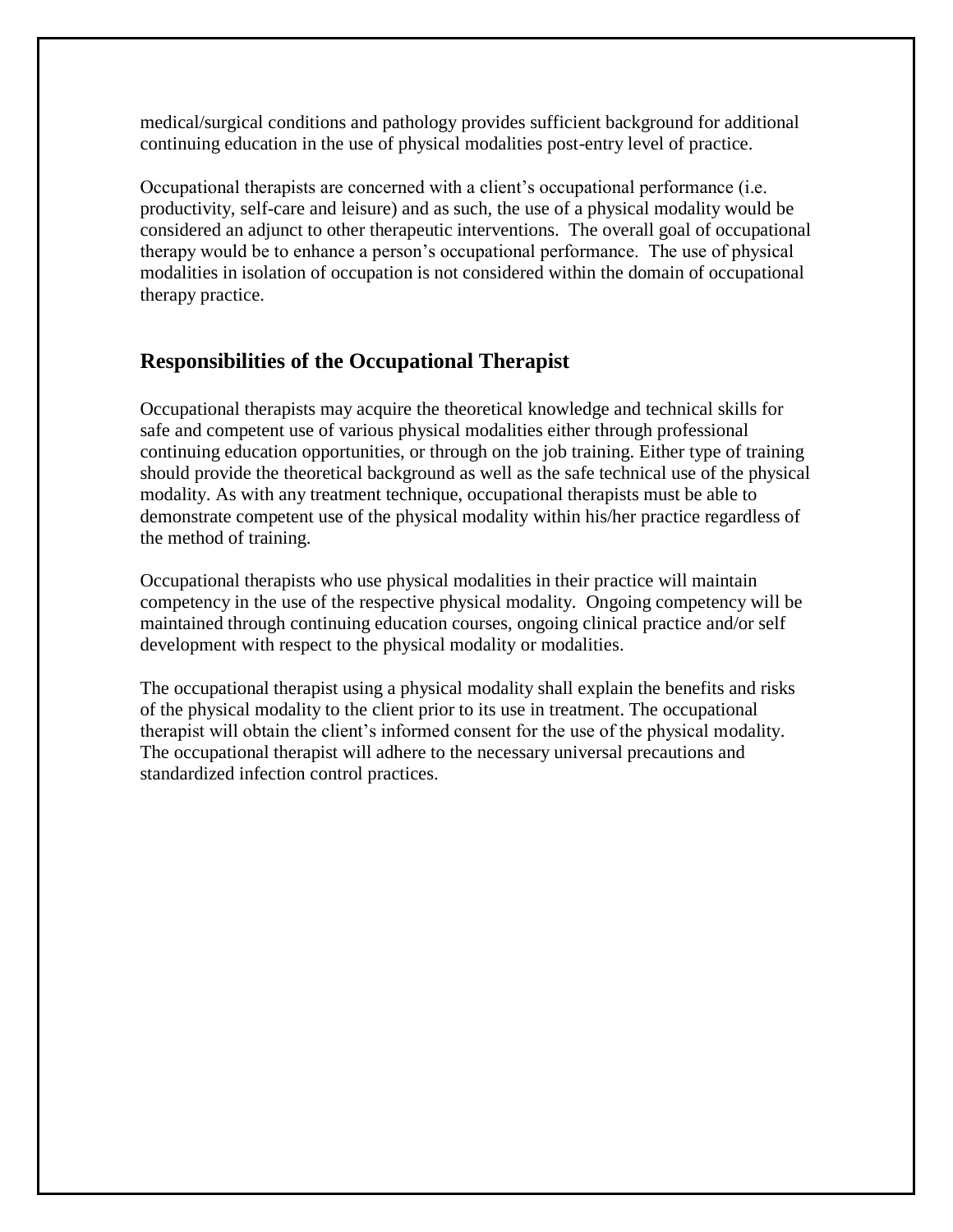medical/surgical conditions and pathology provides sufficient background for additional continuing education in the use of physical modalities post-entry level of practice.

Occupational therapists are concerned with a client's occupational performance (i.e. productivity, self-care and leisure) and as such, the use of a physical modality would be considered an adjunct to other therapeutic interventions. The overall goal of occupational therapy would be to enhance a person's occupational performance. The use of physical modalities in isolation of occupation is not considered within the domain of occupational therapy practice.

## **Responsibilities of the Occupational Therapist**

Occupational therapists may acquire the theoretical knowledge and technical skills for safe and competent use of various physical modalities either through professional continuing education opportunities, or through on the job training. Either type of training should provide the theoretical background as well as the safe technical use of the physical modality. As with any treatment technique, occupational therapists must be able to demonstrate competent use of the physical modality within his/her practice regardless of the method of training.

Occupational therapists who use physical modalities in their practice will maintain competency in the use of the respective physical modality. Ongoing competency will be maintained through continuing education courses, ongoing clinical practice and/or self development with respect to the physical modality or modalities.

The occupational therapist using a physical modality shall explain the benefits and risks of the physical modality to the client prior to its use in treatment. The occupational therapist will obtain the client's informed consent for the use of the physical modality. The occupational therapist will adhere to the necessary universal precautions and standardized infection control practices.